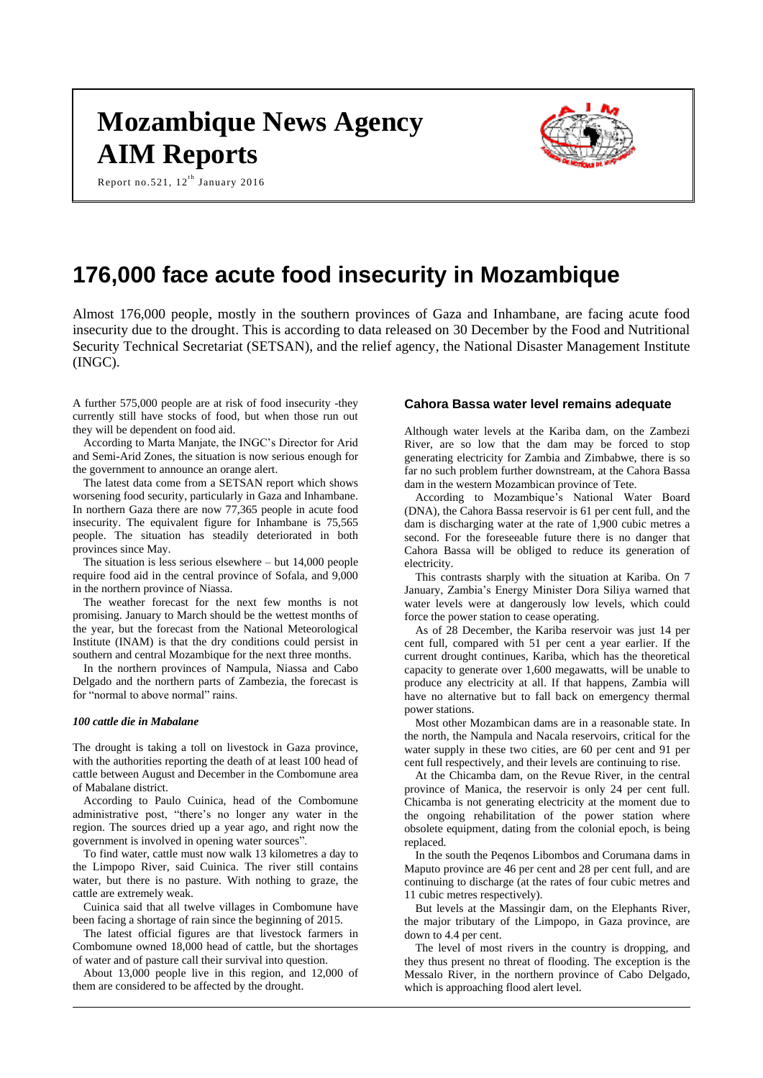# **Mozambique News Agency AIM Reports**

Report no.521,  $12^{\text{th}}$  January 2016



# **176,000 face acute food insecurity in Mozambique**

Almost 176,000 people, mostly in the southern provinces of Gaza and Inhambane, are facing acute food insecurity due to the drought. This is according to data released on 30 December by the Food and Nutritional Security Technical Secretariat (SETSAN), and the relief agency, the National Disaster Management Institute (INGC).

A further 575,000 people are at risk of food insecurity -they currently still have stocks of food, but when those run out they will be dependent on food aid.

According to Marta Manjate, the INGC's Director for Arid and Semi-Arid Zones, the situation is now serious enough for the government to announce an orange alert.

The latest data come from a SETSAN report which shows worsening food security, particularly in Gaza and Inhambane. In northern Gaza there are now 77,365 people in acute food insecurity. The equivalent figure for Inhambane is 75,565 people. The situation has steadily deteriorated in both provinces since May.

The situation is less serious elsewhere – but 14,000 people require food aid in the central province of Sofala, and 9,000 in the northern province of Niassa.

The weather forecast for the next few months is not promising. January to March should be the wettest months of the year, but the forecast from the National Meteorological Institute (INAM) is that the dry conditions could persist in southern and central Mozambique for the next three months.

In the northern provinces of Nampula, Niassa and Cabo Delgado and the northern parts of Zambezia, the forecast is for "normal to above normal" rains.

#### *100 cattle die in Mabalane*

The drought is taking a toll on livestock in Gaza province, with the authorities reporting the death of at least 100 head of cattle between August and December in the Combomune area of Mabalane district.

According to Paulo Cuinica, head of the Combomune administrative post, "there's no longer any water in the region. The sources dried up a year ago, and right now the government is involved in opening water sources".

To find water, cattle must now walk 13 kilometres a day to the Limpopo River, said Cuinica. The river still contains water, but there is no pasture. With nothing to graze, the cattle are extremely weak.

Cuinica said that all twelve villages in Combomune have been facing a shortage of rain since the beginning of 2015.

The latest official figures are that livestock farmers in Combomune owned 18,000 head of cattle, but the shortages of water and of pasture call their survival into question.

About 13,000 people live in this region, and 12,000 of them are considered to be affected by the drought.

#### **Cahora Bassa water level remains adequate**

Although water levels at the Kariba dam, on the Zambezi River, are so low that the dam may be forced to stop generating electricity for Zambia and Zimbabwe, there is so far no such problem further downstream, at the Cahora Bassa dam in the western Mozambican province of Tete.

According to Mozambique's National Water Board (DNA), the Cahora Bassa reservoir is 61 per cent full, and the dam is discharging water at the rate of 1,900 cubic metres a second. For the foreseeable future there is no danger that Cahora Bassa will be obliged to reduce its generation of electricity.

This contrasts sharply with the situation at Kariba. On 7 January, Zambia's Energy Minister Dora Siliya warned that water levels were at dangerously low levels, which could force the power station to cease operating.

As of 28 December, the Kariba reservoir was just 14 per cent full, compared with 51 per cent a year earlier. If the current drought continues, Kariba, which has the theoretical capacity to generate over 1,600 megawatts, will be unable to produce any electricity at all. If that happens, Zambia will have no alternative but to fall back on emergency thermal power stations.

Most other Mozambican dams are in a reasonable state. In the north, the Nampula and Nacala reservoirs, critical for the water supply in these two cities, are 60 per cent and 91 per cent full respectively, and their levels are continuing to rise.

At the Chicamba dam, on the Revue River, in the central province of Manica, the reservoir is only 24 per cent full. Chicamba is not generating electricity at the moment due to the ongoing rehabilitation of the power station where obsolete equipment, dating from the colonial epoch, is being replaced.

In the south the Peqenos Libombos and Corumana dams in Maputo province are 46 per cent and 28 per cent full, and are continuing to discharge (at the rates of four cubic metres and 11 cubic metres respectively).

But levels at the Massingir dam, on the Elephants River, the major tributary of the Limpopo, in Gaza province, are down to 4.4 per cent.

The level of most rivers in the country is dropping, and they thus present no threat of flooding. The exception is the Messalo River, in the northern province of Cabo Delgado, which is approaching flood alert level.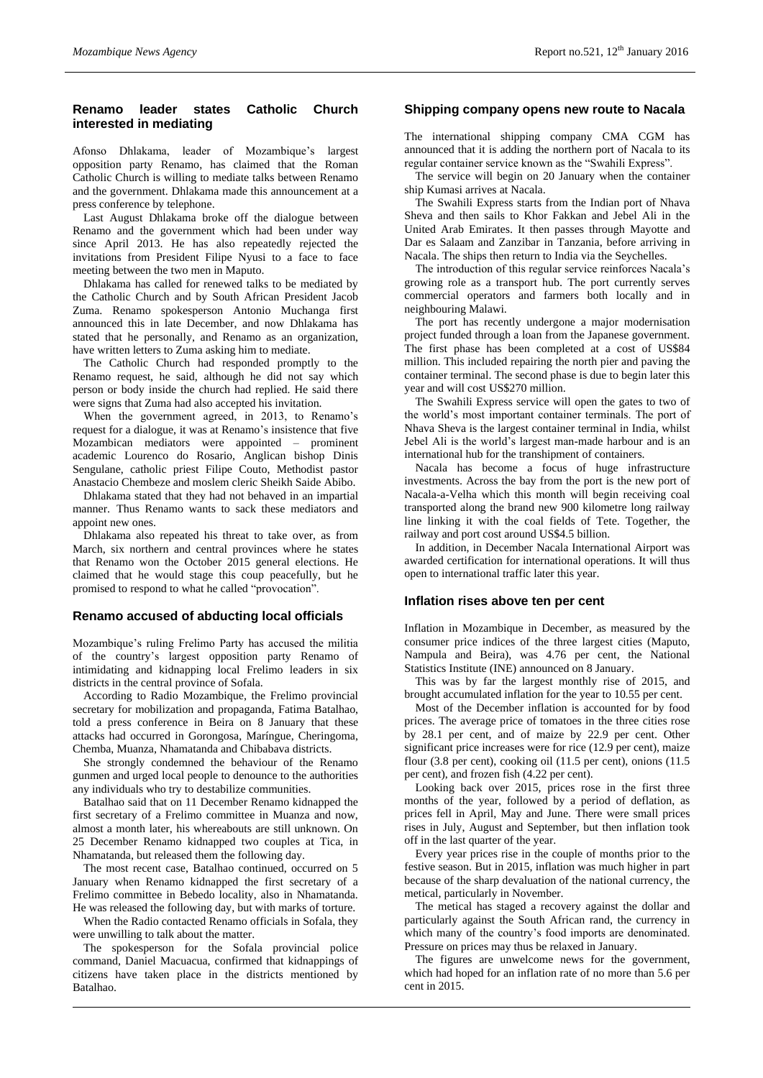# **Renamo leader states Catholic Church interested in mediating**

Afonso Dhlakama, leader of Mozambique's largest opposition party Renamo, has claimed that the Roman Catholic Church is willing to mediate talks between Renamo and the government. Dhlakama made this announcement at a press conference by telephone.

Last August Dhlakama broke off the dialogue between Renamo and the government which had been under way since April 2013. He has also repeatedly rejected the invitations from President Filipe Nyusi to a face to face meeting between the two men in Maputo.

Dhlakama has called for renewed talks to be mediated by the Catholic Church and by South African President Jacob Zuma. Renamo spokesperson Antonio Muchanga first announced this in late December, and now Dhlakama has stated that he personally, and Renamo as an organization, have written letters to Zuma asking him to mediate.

The Catholic Church had responded promptly to the Renamo request, he said, although he did not say which person or body inside the church had replied. He said there were signs that Zuma had also accepted his invitation.

When the government agreed, in 2013, to Renamo's request for a dialogue, it was at Renamo's insistence that five Mozambican mediators were appointed – prominent academic Lourenco do Rosario, Anglican bishop Dinis Sengulane, catholic priest Filipe Couto, Methodist pastor Anastacio Chembeze and moslem cleric Sheikh Saide Abibo.

Dhlakama stated that they had not behaved in an impartial manner. Thus Renamo wants to sack these mediators and appoint new ones.

Dhlakama also repeated his threat to take over, as from March, six northern and central provinces where he states that Renamo won the October 2015 general elections. He claimed that he would stage this coup peacefully, but he promised to respond to what he called "provocation".

# **Renamo accused of abducting local officials**

Mozambique's ruling Frelimo Party has accused the militia of the country's largest opposition party Renamo of intimidating and kidnapping local Frelimo leaders in six districts in the central province of Sofala.

According to Radio Mozambique, the Frelimo provincial secretary for mobilization and propaganda, Fatima Batalhao, told a press conference in Beira on 8 January that these attacks had occurred in Gorongosa, Maríngue, Cheringoma, Chemba, Muanza, Nhamatanda and Chibabava districts.

She strongly condemned the behaviour of the Renamo gunmen and urged local people to denounce to the authorities any individuals who try to destabilize communities.

Batalhao said that on 11 December Renamo kidnapped the first secretary of a Frelimo committee in Muanza and now, almost a month later, his whereabouts are still unknown. On 25 December Renamo kidnapped two couples at Tica, in Nhamatanda, but released them the following day.

The most recent case, Batalhao continued, occurred on 5 January when Renamo kidnapped the first secretary of a Frelimo committee in Bebedo locality, also in Nhamatanda. He was released the following day, but with marks of torture.

When the Radio contacted Renamo officials in Sofala, they were unwilling to talk about the matter.

The spokesperson for the Sofala provincial police command, Daniel Macuacua, confirmed that kidnappings of citizens have taken place in the districts mentioned by Batalhao.

# **Shipping company opens new route to Nacala**

The international shipping company CMA CGM has announced that it is adding the northern port of Nacala to its regular container service known as the "Swahili Express".

The service will begin on 20 January when the container ship Kumasi arrives at Nacala.

The Swahili Express starts from the Indian port of Nhava Sheva and then sails to Khor Fakkan and Jebel Ali in the United Arab Emirates. It then passes through Mayotte and Dar es Salaam and Zanzibar in Tanzania, before arriving in Nacala. The ships then return to India via the Seychelles.

The introduction of this regular service reinforces Nacala's growing role as a transport hub. The port currently serves commercial operators and farmers both locally and in neighbouring Malawi.

The port has recently undergone a major modernisation project funded through a loan from the Japanese government. The first phase has been completed at a cost of US\$84 million. This included repairing the north pier and paving the container terminal. The second phase is due to begin later this year and will cost US\$270 million.

The Swahili Express service will open the gates to two of the world's most important container terminals. The port of Nhava Sheva is the largest container terminal in India, whilst Jebel Ali is the world's largest man-made harbour and is an international hub for the transhipment of containers.

Nacala has become a focus of huge infrastructure investments. Across the bay from the port is the new port of Nacala-a-Velha which this month will begin receiving coal transported along the brand new 900 kilometre long railway line linking it with the coal fields of Tete. Together, the railway and port cost around US\$4.5 billion.

In addition, in December Nacala International Airport was awarded certification for international operations. It will thus open to international traffic later this year.

# **Inflation rises above ten per cent**

Inflation in Mozambique in December, as measured by the consumer price indices of the three largest cities (Maputo, Nampula and Beira), was 4.76 per cent, the National Statistics Institute (INE) announced on 8 January.

This was by far the largest monthly rise of 2015, and brought accumulated inflation for the year to 10.55 per cent.

Most of the December inflation is accounted for by food prices. The average price of tomatoes in the three cities rose by 28.1 per cent, and of maize by 22.9 per cent. Other significant price increases were for rice (12.9 per cent), maize flour (3.8 per cent), cooking oil (11.5 per cent), onions (11.5 per cent), and frozen fish (4.22 per cent).

Looking back over 2015, prices rose in the first three months of the year, followed by a period of deflation, as prices fell in April, May and June. There were small prices rises in July, August and September, but then inflation took off in the last quarter of the year.

Every year prices rise in the couple of months prior to the festive season. But in 2015, inflation was much higher in part because of the sharp devaluation of the national currency, the metical, particularly in November.

The metical has staged a recovery against the dollar and particularly against the South African rand, the currency in which many of the country's food imports are denominated. Pressure on prices may thus be relaxed in January.

The figures are unwelcome news for the government, which had hoped for an inflation rate of no more than 5.6 per cent in 2015.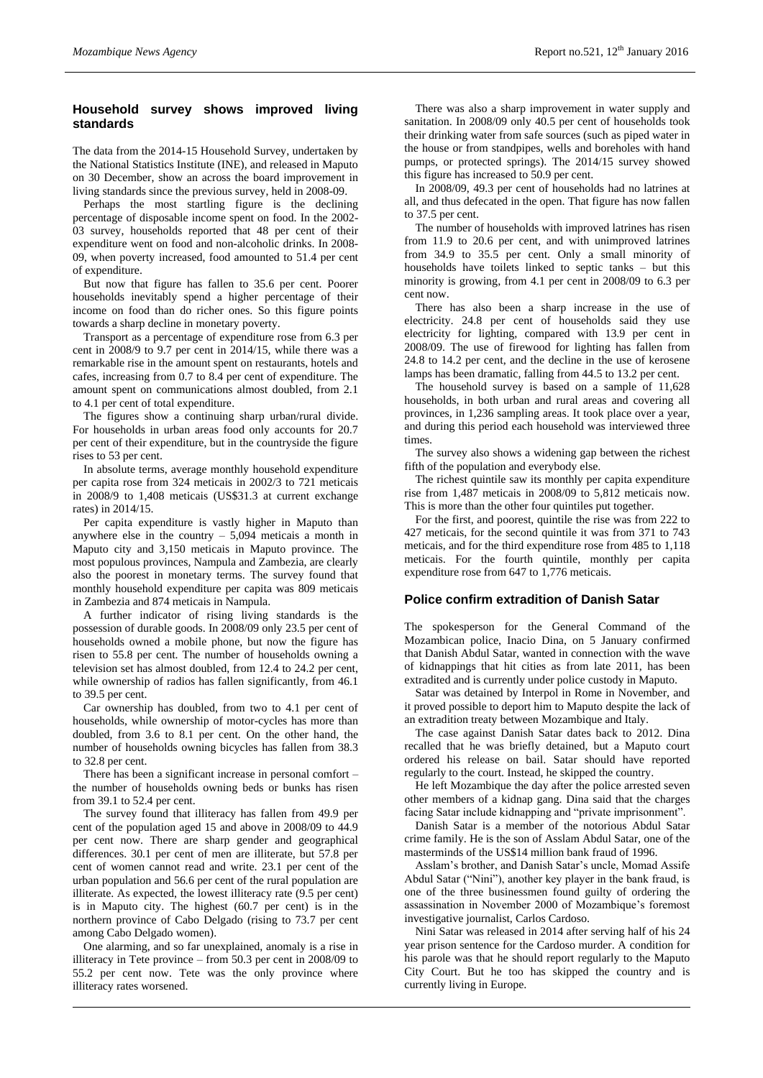#### **Household survey shows improved living standards**

The data from the 2014-15 Household Survey, undertaken by the National Statistics Institute (INE), and released in Maputo on 30 December, show an across the board improvement in living standards since the previous survey, held in 2008-09.

Perhaps the most startling figure is the declining percentage of disposable income spent on food. In the 2002- 03 survey, households reported that 48 per cent of their expenditure went on food and non-alcoholic drinks. In 2008- 09, when poverty increased, food amounted to 51.4 per cent of expenditure.

But now that figure has fallen to 35.6 per cent. Poorer households inevitably spend a higher percentage of their income on food than do richer ones. So this figure points towards a sharp decline in monetary poverty.

Transport as a percentage of expenditure rose from 6.3 per cent in 2008/9 to 9.7 per cent in 2014/15, while there was a remarkable rise in the amount spent on restaurants, hotels and cafes, increasing from 0.7 to 8.4 per cent of expenditure. The amount spent on communications almost doubled, from 2.1 to 4.1 per cent of total expenditure.

The figures show a continuing sharp urban/rural divide. For households in urban areas food only accounts for 20.7 per cent of their expenditure, but in the countryside the figure rises to 53 per cent.

In absolute terms, average monthly household expenditure per capita rose from 324 meticais in 2002/3 to 721 meticais in 2008/9 to 1,408 meticais (US\$31.3 at current exchange rates) in 2014/15.

Per capita expenditure is vastly higher in Maputo than anywhere else in the country – 5,094 meticais a month in Maputo city and 3,150 meticais in Maputo province. The most populous provinces, Nampula and Zambezia, are clearly also the poorest in monetary terms. The survey found that monthly household expenditure per capita was 809 meticais in Zambezia and 874 meticais in Nampula.

A further indicator of rising living standards is the possession of durable goods. In 2008/09 only 23.5 per cent of households owned a mobile phone, but now the figure has risen to 55.8 per cent. The number of households owning a television set has almost doubled, from 12.4 to 24.2 per cent, while ownership of radios has fallen significantly, from 46.1 to 39.5 per cent.

Car ownership has doubled, from two to 4.1 per cent of households, while ownership of motor-cycles has more than doubled, from 3.6 to 8.1 per cent. On the other hand, the number of households owning bicycles has fallen from 38.3 to 32.8 per cent.

There has been a significant increase in personal comfort – the number of households owning beds or bunks has risen from 39.1 to 52.4 per cent.

The survey found that illiteracy has fallen from 49.9 per cent of the population aged 15 and above in 2008/09 to 44.9 per cent now. There are sharp gender and geographical differences. 30.1 per cent of men are illiterate, but 57.8 per cent of women cannot read and write. 23.1 per cent of the urban population and 56.6 per cent of the rural population are illiterate. As expected, the lowest illiteracy rate (9.5 per cent) is in Maputo city. The highest (60.7 per cent) is in the northern province of Cabo Delgado (rising to 73.7 per cent among Cabo Delgado women).

One alarming, and so far unexplained, anomaly is a rise in illiteracy in Tete province – from 50.3 per cent in 2008/09 to 55.2 per cent now. Tete was the only province where illiteracy rates worsened.

There was also a sharp improvement in water supply and sanitation. In 2008/09 only 40.5 per cent of households took their drinking water from safe sources (such as piped water in the house or from standpipes, wells and boreholes with hand pumps, or protected springs). The 2014/15 survey showed this figure has increased to 50.9 per cent.

In 2008/09, 49.3 per cent of households had no latrines at all, and thus defecated in the open. That figure has now fallen to 37.5 per cent.

The number of households with improved latrines has risen from 11.9 to 20.6 per cent, and with unimproved latrines from 34.9 to 35.5 per cent. Only a small minority of households have toilets linked to septic tanks – but this minority is growing, from 4.1 per cent in 2008/09 to 6.3 per cent now.

There has also been a sharp increase in the use of electricity. 24.8 per cent of households said they use electricity for lighting, compared with 13.9 per cent in 2008/09. The use of firewood for lighting has fallen from 24.8 to 14.2 per cent, and the decline in the use of kerosene lamps has been dramatic, falling from 44.5 to 13.2 per cent.

The household survey is based on a sample of 11,628 households, in both urban and rural areas and covering all provinces, in 1,236 sampling areas. It took place over a year, and during this period each household was interviewed three times.

The survey also shows a widening gap between the richest fifth of the population and everybody else.

The richest quintile saw its monthly per capita expenditure rise from 1,487 meticais in 2008/09 to 5,812 meticais now. This is more than the other four quintiles put together.

For the first, and poorest, quintile the rise was from 222 to 427 meticais, for the second quintile it was from 371 to 743 meticais, and for the third expenditure rose from 485 to 1,118 meticais. For the fourth quintile, monthly per capita expenditure rose from 647 to 1,776 meticais.

#### **Police confirm extradition of Danish Satar**

The spokesperson for the General Command of the Mozambican police, Inacio Dina, on 5 January confirmed that Danish Abdul Satar, wanted in connection with the wave of kidnappings that hit cities as from late 2011, has been extradited and is currently under police custody in Maputo.

Satar was detained by Interpol in Rome in November, and it proved possible to deport him to Maputo despite the lack of an extradition treaty between Mozambique and Italy.

The case against Danish Satar dates back to 2012. Dina recalled that he was briefly detained, but a Maputo court ordered his release on bail. Satar should have reported regularly to the court. Instead, he skipped the country.

He left Mozambique the day after the police arrested seven other members of a kidnap gang. Dina said that the charges facing Satar include kidnapping and "private imprisonment".

Danish Satar is a member of the notorious Abdul Satar crime family. He is the son of Asslam Abdul Satar, one of the masterminds of the US\$14 million bank fraud of 1996.

Asslam's brother, and Danish Satar's uncle, Momad Assife Abdul Satar ("Nini"), another key player in the bank fraud, is one of the three businessmen found guilty of ordering the assassination in November 2000 of Mozambique's foremost investigative journalist, Carlos Cardoso.

Nini Satar was released in 2014 after serving half of his 24 year prison sentence for the Cardoso murder. A condition for his parole was that he should report regularly to the Maputo City Court. But he too has skipped the country and is currently living in Europe.